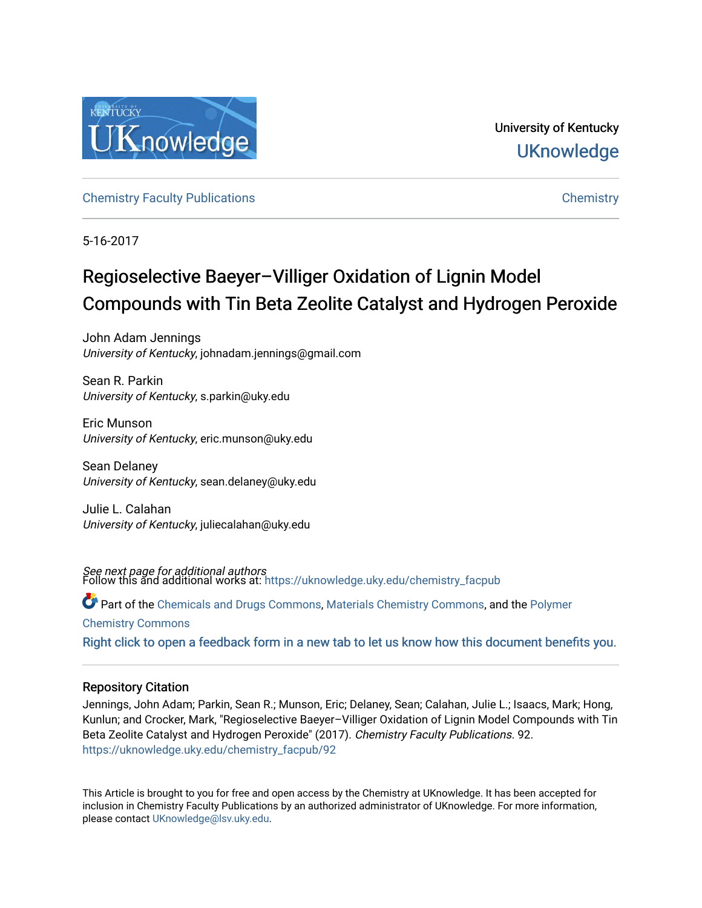

University of Kentucky **UKnowledge** 

[Chemistry Faculty Publications](https://uknowledge.uky.edu/chemistry_facpub) [Chemistry](https://uknowledge.uky.edu/chemistry) 

5-16-2017

# Regioselective Baeyer–Villiger Oxidation of Lignin Model Compounds with Tin Beta Zeolite Catalyst and Hydrogen Peroxide

John Adam Jennings University of Kentucky, johnadam.jennings@gmail.com

Sean R. Parkin University of Kentucky, s.parkin@uky.edu

Eric Munson University of Kentucky, eric.munson@uky.edu

Sean Delaney University of Kentucky, sean.delaney@uky.edu

Julie L. Calahan University of Kentucky, juliecalahan@uky.edu

*See next page for additional authors*<br>Follow this and additional works at: https://uknowledge.uky.edu/chemistry\_facpub

Part of the [Chemicals and Drugs Commons](http://network.bepress.com/hgg/discipline/902?utm_source=uknowledge.uky.edu%2Fchemistry_facpub%2F92&utm_medium=PDF&utm_campaign=PDFCoverPages), [Materials Chemistry Commons,](http://network.bepress.com/hgg/discipline/135?utm_source=uknowledge.uky.edu%2Fchemistry_facpub%2F92&utm_medium=PDF&utm_campaign=PDFCoverPages) and the [Polymer](http://network.bepress.com/hgg/discipline/140?utm_source=uknowledge.uky.edu%2Fchemistry_facpub%2F92&utm_medium=PDF&utm_campaign=PDFCoverPages)

[Chemistry Commons](http://network.bepress.com/hgg/discipline/140?utm_source=uknowledge.uky.edu%2Fchemistry_facpub%2F92&utm_medium=PDF&utm_campaign=PDFCoverPages) 

[Right click to open a feedback form in a new tab to let us know how this document benefits you.](https://uky.az1.qualtrics.com/jfe/form/SV_9mq8fx2GnONRfz7)

### Repository Citation

Jennings, John Adam; Parkin, Sean R.; Munson, Eric; Delaney, Sean; Calahan, Julie L.; Isaacs, Mark; Hong, Kunlun; and Crocker, Mark, "Regioselective Baeyer–Villiger Oxidation of Lignin Model Compounds with Tin Beta Zeolite Catalyst and Hydrogen Peroxide" (2017). Chemistry Faculty Publications. 92. [https://uknowledge.uky.edu/chemistry\\_facpub/92](https://uknowledge.uky.edu/chemistry_facpub/92?utm_source=uknowledge.uky.edu%2Fchemistry_facpub%2F92&utm_medium=PDF&utm_campaign=PDFCoverPages)

This Article is brought to you for free and open access by the Chemistry at UKnowledge. It has been accepted for inclusion in Chemistry Faculty Publications by an authorized administrator of UKnowledge. For more information, please contact [UKnowledge@lsv.uky.edu.](mailto:UKnowledge@lsv.uky.edu)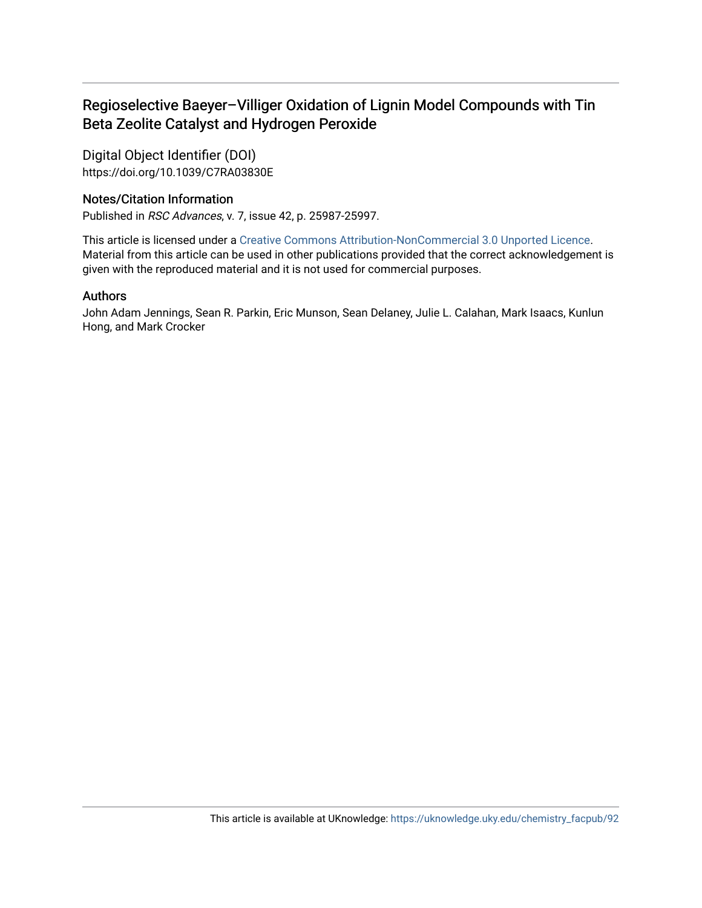# Regioselective Baeyer–Villiger Oxidation of Lignin Model Compounds with Tin Beta Zeolite Catalyst and Hydrogen Peroxide

Digital Object Identifier (DOI) https://doi.org/10.1039/C7RA03830E

## Notes/Citation Information

Published in RSC Advances, v. 7, issue 42, p. 25987-25997.

This article is licensed under a [Creative Commons Attribution-NonCommercial 3.0 Unported Licence.](https://creativecommons.org/licenses/by-nc/3.0/) Material from this article can be used in other publications provided that the correct acknowledgement is given with the reproduced material and it is not used for commercial purposes.

### Authors

John Adam Jennings, Sean R. Parkin, Eric Munson, Sean Delaney, Julie L. Calahan, Mark Isaacs, Kunlun Hong, and Mark Crocker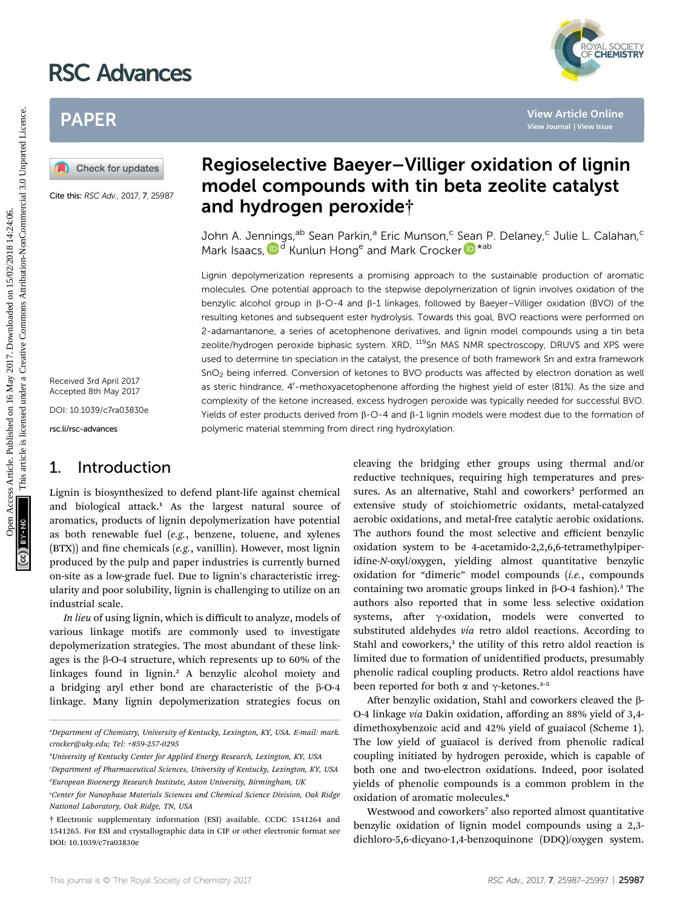# RSC Advances



# PAPER

Cite this: RSC Adv., 2017, 7, 25987

Received 3rd April 2017 Accepted 8th May 2017

DOI: 10.1039/c7ra03830e

rsc.li/rsc-advances

# 1. Introduction

Lignin is biosynthesized to defend plant-life against chemical and biological attack.<sup>1</sup> As the largest natural source of aromatics, products of lignin depolymerization have potential as both renewable fuel (e.g., benzene, toluene, and xylenes  $(BTX)$ ) and fine chemicals (e.g., vanillin). However, most lignin produced by the pulp and paper industries is currently burned on-site as a low-grade fuel. Due to lignin's characteristic irregularity and poor solubility, lignin is challenging to utilize on an industrial scale.

In lieu of using lignin, which is difficult to analyze, models of various linkage motifs are commonly used to investigate depolymerization strategies. The most abundant of these linkages is the  $\beta$ -O-4 structure, which represents up to 60% of the linkages found in lignin.<sup>2</sup> A benzylic alcohol moiety and a bridging aryl ether bond are characteristic of the  $\beta$ -O-4 linkage. Many lignin depolymerization strategies focus on

# Regioselective Baeyer–Villiger oxidation of lignin model compounds with tin beta zeolite catalyst and hydrogen peroxide†

John A. Jennings,<sup>ab</sup> Sean Parkin,<sup>a</sup> Eric Munson,<sup>c</sup> Sean P. Delaney,<sup>c</sup> Julie L. Calahan,<sup>c</sup> Mark Isaacs[,](http://orcid.org/0000-0002-0335-4272)  $\mathbf{D}^{\text{d}}$  Kunlun Hong<sup>e</sup> and Ma[r](http://orcid.org/0000-0002-6560-8071)k Crocker  $\mathbf{D}^{\text{*ab}}$ 

Lignin depolymerization represents a promising approach to the sustainable production of aromatic molecules. One potential approach to the stepwise depolymerization of lignin involves oxidation of the benzylic alcohol group in b-O-4 and b-1 linkages, followed by Baeyer–Villiger oxidation (BVO) of the resulting ketones and subsequent ester hydrolysis. Towards this goal, BVO reactions were performed on 2-adamantanone, a series of acetophenone derivatives, and lignin model compounds using a tin beta zeolite/hydrogen peroxide biphasic system. XRD, <sup>119</sup>Sn MAS NMR spectroscopy, DRUVS and XPS were used to determine tin speciation in the catalyst, the presence of both framework Sn and extra framework SnO2 being inferred. Conversion of ketones to BVO products was affected by electron donation as well as steric hindrance, 4'-methoxyacetophenone affording the highest yield of ester (81%). As the size and complexity of the ketone increased, excess hydrogen peroxide was typically needed for successful BVO. Yields of ester products derived from  $\beta$ -O-4 and  $\beta$ -1 lignin models were modest due to the formation of polymeric material stemming from direct ring hydroxylation. **PAPER**<br> **PAPER**<br> **PAPER**<br> **Regionselective Baeyer-Villiger oxidation of ligning<br>
<b>Regionselective Baeyer-Villiger oxidation of ligning<br>
and hydrogen peroxide<sup>+</sup><br>
and hydrogen peroxide<sup>+</sup><br>
John A. Jennings.<sup>30</sup> Sean Parki** 

cleaving the bridging ether groups using thermal and/or reductive techniques, requiring high temperatures and pressures. As an alternative, Stahl and coworkers<sup>3</sup> performed an extensive study of stoichiometric oxidants, metal-catalyzed aerobic oxidations, and metal-free catalytic aerobic oxidations. The authors found the most selective and efficient benzylic oxidation system to be 4-acetamido-2,2,6,6-tetramethylpiperidine-N-oxyl/oxygen, yielding almost quantitative benzylic oxidation for "dimeric" model compounds (i.e., compounds containing two aromatic groups linked in  $\beta$ -O-4 fashion).<sup>3</sup> The authors also reported that in some less selective oxidation systems, after  $\gamma$ -oxidation, models were converted to substituted aldehydes via retro aldol reactions. According to Stahl and coworkers,<sup>3</sup> the utility of this retro aldol reaction is limited due to formation of unidentified products, presumably phenolic radical coupling products. Retro aldol reactions have been reported for both  $\alpha$  and  $\gamma$ -ketones.<sup>3-5</sup>

After benzylic oxidation, Stahl and coworkers cleaved the  $\beta$ -O-4 linkage via Dakin oxidation, affording an 88% yield of 3,4 dimethoxybenzoic acid and 42% yield of guaiacol (Scheme 1). The low yield of guaiacol is derived from phenolic radical coupling initiated by hydrogen peroxide, which is capable of both one and two-electron oxidations. Indeed, poor isolated yields of phenolic compounds is a common problem in the oxidation of aromatic molecules.<sup>6</sup>

Westwood and coworkers<sup>7</sup> also reported almost quantitative benzylic oxidation of lignin model compounds using a 2,3 dichloro-5,6-dicyano-1,4-benzoquinone (DDQ)/oxygen system.

a Department of Chemistry, University of Kentucky, Lexington, KY, USA. E-mail: mark. crocker@uky.edu; Tel: +859-257-0295

b University of Kentucky Center for Applied Energy Research, Lexington, KY, USA

c Department of Pharmaceutical Sciences, University of Kentucky, Lexington, KY, USA <sup>a</sup>European Bioenergy Research Institute, Aston University, Birmingham, UK

e Center for Nanophase Materials Sciences and Chemical Science Division, Oak Ridge National Laboratory, Oak Ridge, TN, USA

<sup>†</sup> Electronic supplementary information (ESI) available. CCDC 1541264 and 1541265. For ESI and crystallographic data in CIF or other electronic format see DOI: 10.1039/c7ra03830e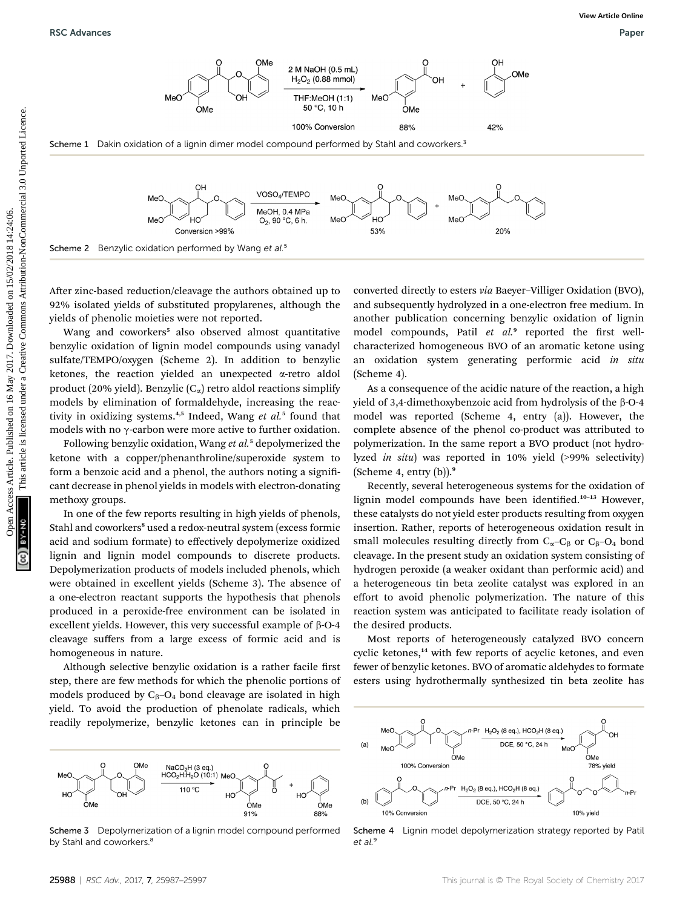

After zinc-based reduction/cleavage the authors obtained up to 92% isolated yields of substituted propylarenes, although the yields of phenolic moieties were not reported.

Wang and coworkers<sup>5</sup> also observed almost quantitative benzylic oxidation of lignin model compounds using vanadyl sulfate/TEMPO/oxygen (Scheme 2). In addition to benzylic ketones, the reaction yielded an unexpected a-retro aldol product (20% yield). Benzylic  $(C_{\alpha})$  retro aldol reactions simplify models by elimination of formaldehyde, increasing the reactivity in oxidizing systems.<sup>4,5</sup> Indeed, Wang et  $al$ <sup>5</sup> found that models with no  $\gamma$ -carbon were more active to further oxidation.

Following benzylic oxidation, Wang et al.<sup>5</sup> depolymerized the ketone with a copper/phenanthroline/superoxide system to form a benzoic acid and a phenol, the authors noting a significant decrease in phenol yields in models with electron-donating methoxy groups.

In one of the few reports resulting in high yields of phenols, Stahl and coworkers<sup>8</sup> used a redox-neutral system (excess formic acid and sodium formate) to effectively depolymerize oxidized lignin and lignin model compounds to discrete products. Depolymerization products of models included phenols, which were obtained in excellent yields (Scheme 3). The absence of a one-electron reactant supports the hypothesis that phenols produced in a peroxide-free environment can be isolated in excellent yields. However, this very successful example of  $\beta$ -O-4 cleavage suffers from a large excess of formic acid and is homogeneous in nature.

Although selective benzylic oxidation is a rather facile first step, there are few methods for which the phenolic portions of models produced by  $C_6$ – $O_4$  bond cleavage are isolated in high yield. To avoid the production of phenolate radicals, which readily repolymerize, benzylic ketones can in principle be



Scheme 3 Depolymerization of a lignin model compound performed by Stahl and coworkers.<sup>8</sup>

converted directly to esters via Baeyer–Villiger Oxidation (BVO), and subsequently hydrolyzed in a one-electron free medium. In another publication concerning benzylic oxidation of lignin model compounds, Patil et al.<sup>9</sup> reported the first wellcharacterized homogeneous BVO of an aromatic ketone using an oxidation system generating performic acid in situ (Scheme 4).

As a consequence of the acidic nature of the reaction, a high yield of 3,4-dimethoxybenzoic acid from hydrolysis of the  $\beta$ -O-4 model was reported (Scheme 4, entry (a)). However, the complete absence of the phenol co-product was attributed to polymerization. In the same report a BVO product (not hydrolyzed in situ) was reported in 10% yield (>99% selectivity) (Scheme 4, entry  $(b)$ ).<sup>9</sup>

Recently, several heterogeneous systems for the oxidation of lignin model compounds have been identified.<sup>10-13</sup> However, these catalysts do not yield ester products resulting from oxygen insertion. Rather, reports of heterogeneous oxidation result in small molecules resulting directly from  $C_{\alpha}-C_{\beta}$  or  $C_{\beta}-O_4$  bond cleavage. In the present study an oxidation system consisting of hydrogen peroxide (a weaker oxidant than performic acid) and a heterogeneous tin beta zeolite catalyst was explored in an effort to avoid phenolic polymerization. The nature of this reaction system was anticipated to facilitate ready isolation of the desired products.

Most reports of heterogeneously catalyzed BVO concern cyclic ketones,<sup>14</sup> with few reports of acyclic ketones, and even fewer of benzylic ketones. BVO of aromatic aldehydes to formate esters using hydrothermally synthesized tin beta zeolite has



Scheme 4 Lignin model depolymerization strategy reported by Patil et al.<sup>9</sup>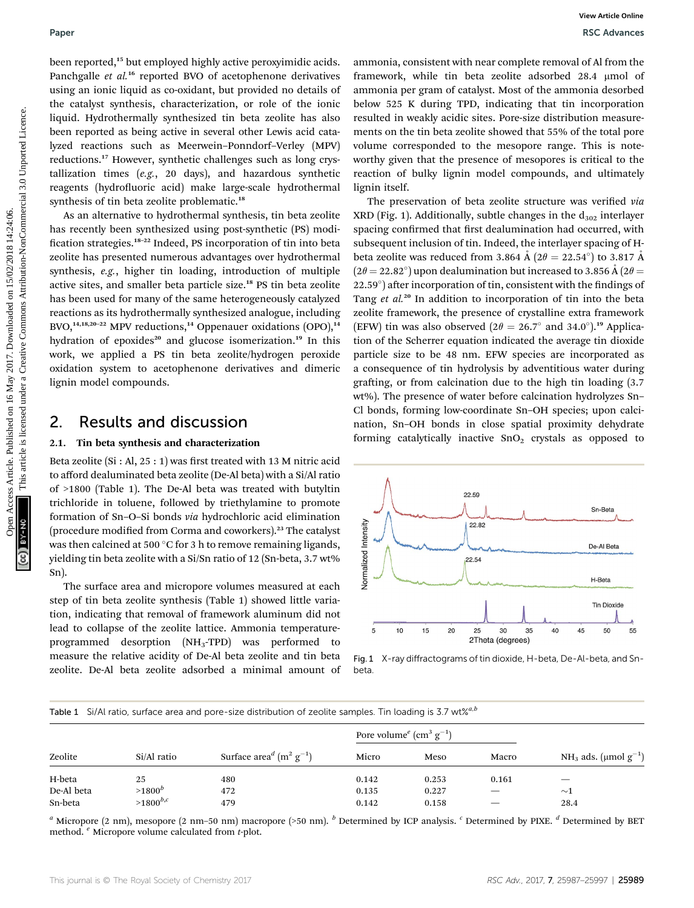been reported,<sup>15</sup> but employed highly active peroxyimidic acids. Panchgalle et al.<sup>16</sup> reported BVO of acetophenone derivatives using an ionic liquid as co-oxidant, but provided no details of the catalyst synthesis, characterization, or role of the ionic liquid. Hydrothermally synthesized tin beta zeolite has also been reported as being active in several other Lewis acid catalyzed reactions such as Meerwein–Ponndorf–Verley (MPV) reductions.<sup>17</sup> However, synthetic challenges such as long crystallization times (e.g., 20 days), and hazardous synthetic reagents (hydrofluoric acid) make large-scale hydrothermal synthesis of tin beta zeolite problematic.<sup>18</sup>

As an alternative to hydrothermal synthesis, tin beta zeolite has recently been synthesized using post-synthetic (PS) modi fication strategies.<sup>18-22</sup> Indeed, PS incorporation of tin into beta zeolite has presented numerous advantages over hydrothermal synthesis, e.g., higher tin loading, introduction of multiple active sites, and smaller beta particle size.<sup>18</sup> PS tin beta zeolite has been used for many of the same heterogeneously catalyzed reactions as its hydrothermally synthesized analogue, including BVO,<sup>14,18,20-22</sup> MPV reductions,<sup>14</sup> Oppenauer oxidations  $(OPO)$ ,<sup>14</sup> hydration of epoxides<sup>20</sup> and glucose isomerization.<sup>19</sup> In this work, we applied a PS tin beta zeolite/hydrogen peroxide oxidation system to acetophenone derivatives and dimeric lignin model compounds.

## 2. Results and discussion

### 2.1. Tin beta synthesis and characterization

Beta zeolite  $(Si : Al, 25 : 1)$  was first treated with 13 M nitric acid to afford dealuminated beta zeolite (De-Al beta) with a Si/Al ratio of >1800 (Table 1). The De-Al beta was treated with butyltin trichloride in toluene, followed by triethylamine to promote formation of Sn–O–Si bonds via hydrochloric acid elimination (procedure modified from Corma and coworkers).<sup>23</sup> The catalyst was then calcined at 500 °C for 3 h to remove remaining ligands, yielding tin beta zeolite with a Si/Sn ratio of 12 (Sn-beta, 3.7 wt% Sn).

The surface area and micropore volumes measured at each step of tin beta zeolite synthesis (Table 1) showed little variation, indicating that removal of framework aluminum did not lead to collapse of the zeolite lattice. Ammonia temperatureprogrammed desorption (NH3-TPD) was performed to measure the relative acidity of De-Al beta zeolite and tin beta zeolite. De-Al beta zeolite adsorbed a minimal amount of

ammonia, consistent with near complete removal of Al from the framework, while tin beta zeolite adsorbed 28.4 umol of ammonia per gram of catalyst. Most of the ammonia desorbed below 525 K during TPD, indicating that tin incorporation resulted in weakly acidic sites. Pore-size distribution measurements on the tin beta zeolite showed that 55% of the total pore volume corresponded to the mesopore range. This is noteworthy given that the presence of mesopores is critical to the reaction of bulky lignin model compounds, and ultimately lignin itself.

The preservation of beta zeolite structure was verified via XRD (Fig. 1). Additionally, subtle changes in the  $d_{302}$  interlayer spacing confirmed that first dealumination had occurred, with subsequent inclusion of tin. Indeed, the interlayer spacing of Hbeta zeolite was reduced from 3.864 Å (2 $\theta = 22.54^{\circ}$ ) to 3.817 Å  $(2\theta = 22.82^{\circ})$  upon dealumination but increased to 3.856 Å (2 $\theta$  = 22.59°) after incorporation of tin, consistent with the findings of Tang et al.<sup>20</sup> In addition to incorporation of tin into the beta zeolite framework, the presence of crystalline extra framework (EFW) tin was also observed ( $2\theta = 26.7^{\circ}$  and  $34.0^{\circ}$ ).<sup>19</sup> Application of the Scherrer equation indicated the average tin dioxide particle size to be 48 nm. EFW species are incorporated as a consequence of tin hydrolysis by adventitious water during grafting, or from calcination due to the high tin loading (3.7 wt%). The presence of water before calcination hydrolyzes Sn– Cl bonds, forming low-coordinate Sn–OH species; upon calcination, Sn–OH bonds in close spatial proximity dehydrate forming catalytically inactive  $SnO<sub>2</sub>$  crystals as opposed to Paper<br>
New representation of a record and the published on 16 May 2017. The control of a record of the second of the second of the second of the second of the second of the second of the second of the second of the second



Fig. 1 X-ray diffractograms of tin dioxide, H-beta, De-Al-beta, and Snbeta.

|  | Table 1 Si/Al ratio, surface area and pore-size distribution of zeolite samples. Tin loading is 3.7 wt% <sup><i>a.l</i>.</sup> |  |  |  |  |
|--|--------------------------------------------------------------------------------------------------------------------------------|--|--|--|--|
|  |                                                                                                                                |  |  |  |  |

| Zeolite    | Si/Al ratio       |                                                   | Pore volume <sup><math>e</math></sup> (cm <sup>3</sup> g <sup>-1</sup> ) |       |                   |                                       |  |
|------------|-------------------|---------------------------------------------------|--------------------------------------------------------------------------|-------|-------------------|---------------------------------------|--|
|            |                   | Surface $aread$ (m <sup>2</sup> g <sup>-1</sup> ) | Micro                                                                    | Meso  | Macro             | NH <sub>3</sub> ads. (µmol $g^{-1}$ ) |  |
| H-beta     | 25                | 480                                               | 0.142                                                                    | 0.253 | 0.161             | –                                     |  |
| De-Al beta | $>1800^b$         | 472                                               | 0.135                                                                    | 0.227 | $\hspace{0.05cm}$ | $\sim$ 1                              |  |
| Sn-beta    | $>$ 1800 $^{b,c}$ | 479                                               | 0.142                                                                    | 0.158 |                   | 28.4                                  |  |

<sup>a</sup> Micropore (2 nm), mesopore (2 nm-50 nm) macropore (>50 nm).  $^b$  Determined by ICP analysis.  $^c$  Determined by PIXE.  $^d$  Determined by BET method.  $e$  Micropore volume calculated from  $t$ -plot.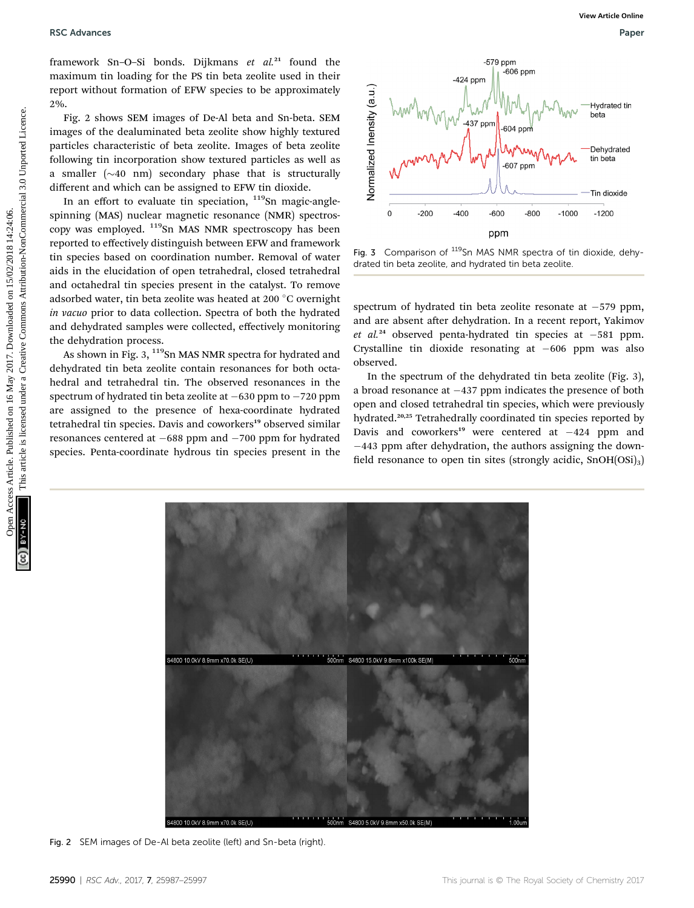framework Sn-O-Si bonds. Dijkmans et  $al.^{21}$  found the maximum tin loading for the PS tin beta zeolite used in their report without formation of EFW species to be approximately 2%.

Fig. 2 shows SEM images of De-Al beta and Sn-beta. SEM images of the dealuminated beta zeolite show highly textured particles characteristic of beta zeolite. Images of beta zeolite following tin incorporation show textured particles as well as a smaller  $(\sim 40 \text{ nm})$  secondary phase that is structurally different and which can be assigned to EFW tin dioxide.

In an effort to evaluate tin speciation,  $119$ Sn magic-anglespinning (MAS) nuclear magnetic resonance (NMR) spectroscopy was employed. 119Sn MAS NMR spectroscopy has been reported to effectively distinguish between EFW and framework tin species based on coordination number. Removal of water aids in the elucidation of open tetrahedral, closed tetrahedral and octahedral tin species present in the catalyst. To remove adsorbed water, tin beta zeolite was heated at 200 °C overnight in vacuo prior to data collection. Spectra of both the hydrated and dehydrated samples were collected, effectively monitoring the dehydration process.

As shown in Fig. 3,  $119$ Sn MAS NMR spectra for hydrated and dehydrated tin beta zeolite contain resonances for both octahedral and tetrahedral tin. The observed resonances in the spectrum of hydrated tin beta zeolite at  $-630$  ppm to  $-720$  ppm are assigned to the presence of hexa-coordinate hydrated tetrahedral tin species. Davis and coworkers<sup>19</sup> observed similar resonances centered at  $-688$  ppm and  $-700$  ppm for hydrated species. Penta-coordinate hydrous tin species present in the



Fig. 3 Comparison of <sup>119</sup>Sn MAS NMR spectra of tin dioxide, dehydrated tin beta zeolite, and hydrated tin beta zeolite.

spectrum of hydrated tin beta zeolite resonate at  $-579$  ppm, and are absent after dehydration. In a recent report, Yakimov et al.<sup>24</sup> observed penta-hydrated tin species at  $-581$  ppm. Crystalline tin dioxide resonating at  $-606$  ppm was also observed.

In the spectrum of the dehydrated tin beta zeolite (Fig. 3), a broad resonance at  $-437$  ppm indicates the presence of both open and closed tetrahedral tin species, which were previously hydrated.<sup>20,25</sup> Tetrahedrally coordinated tin species reported by Davis and coworkers<sup>19</sup> were centered at  $-424$  ppm and  $-443$  ppm after dehydration, the authors assigning the downfield resonance to open tin sites (strongly acidic,  $SnOH(OSi)<sub>3</sub>$ )



Fig. 2 SEM images of De-Al beta zeolite (left) and Sn-beta (right).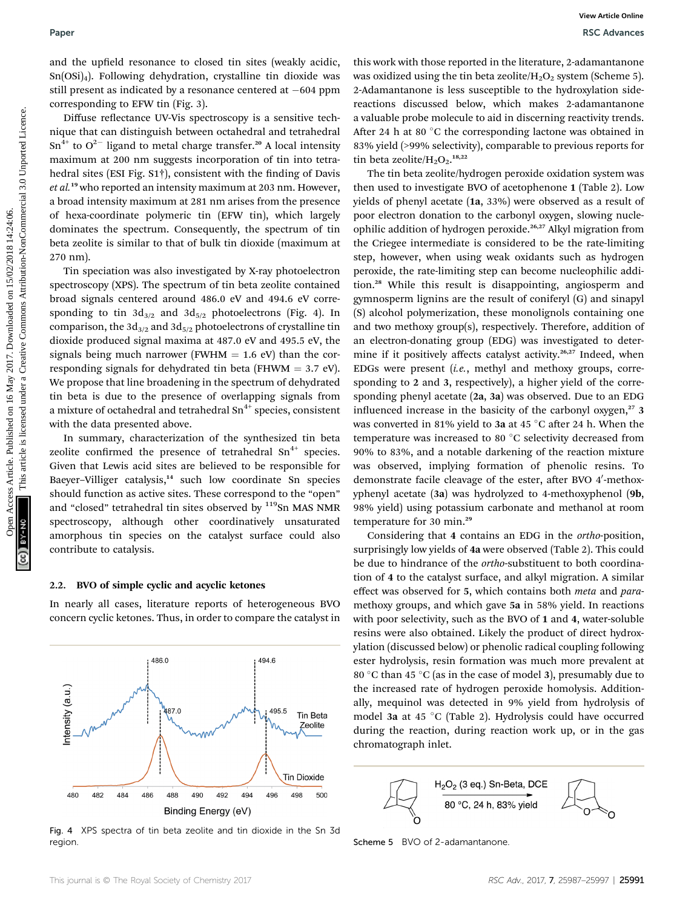and the upfield resonance to closed tin sites (weakly acidic,  $Sn(OSi)_4$ ). Following dehydration, crystalline tin dioxide was still present as indicated by a resonance centered at  $-604$  ppm corresponding to EFW tin (Fig. 3).

Diffuse reflectance UV-Vis spectroscopy is a sensitive technique that can distinguish between octahedral and tetrahedral  $Sn^{4+}$  to  $O^{2-}$  ligand to metal charge transfer.<sup>20</sup> A local intensity maximum at 200 nm suggests incorporation of tin into tetrahedral sites (ESI Fig. S1<sup>†</sup>), consistent with the finding of Davis et al.<sup>19</sup> who reported an intensity maximum at 203 nm. However, a broad intensity maximum at 281 nm arises from the presence of hexa-coordinate polymeric tin (EFW tin), which largely dominates the spectrum. Consequently, the spectrum of tin beta zeolite is similar to that of bulk tin dioxide (maximum at 270 nm).

Tin speciation was also investigated by X-ray photoelectron spectroscopy (XPS). The spectrum of tin beta zeolite contained broad signals centered around 486.0 eV and 494.6 eV corresponding to tin  $3d_{3/2}$  and  $3d_{5/2}$  photoelectrons (Fig. 4). In comparison, the  $3d_{3/2}$  and  $3d_{5/2}$  photoelectrons of crystalline tin dioxide produced signal maxima at 487.0 eV and 495.5 eV, the signals being much narrower (FWHM  $=$  1.6 eV) than the corresponding signals for dehydrated tin beta (FHWM  $=$  3.7 eV). We propose that line broadening in the spectrum of dehydrated tin beta is due to the presence of overlapping signals from a mixture of octahedral and tetrahedral  $Sn^{4+}$  species, consistent with the data presented above.

In summary, characterization of the synthesized tin beta zeolite confirmed the presence of tetrahedral  $Sn^{4+}$  species. Given that Lewis acid sites are believed to be responsible for Baeyer-Villiger catalysis,<sup>14</sup> such low coordinate Sn species should function as active sites. These correspond to the "open" and "closed" tetrahedral tin sites observed by <sup>119</sup>Sn MAS NMR spectroscopy, although other coordinatively unsaturated amorphous tin species on the catalyst surface could also contribute to catalysis.

### 2.2. BVO of simple cyclic and acyclic ketones

In nearly all cases, literature reports of heterogeneous BVO concern cyclic ketones. Thus, in order to compare the catalyst in



Fig. 4 XPS spectra of tin beta zeolite and tin dioxide in the Sn 3d region. The state of the state of the state of the state of the SC Scheme 5 BVO of 2-adamantanone.

this work with those reported in the literature, 2-adamantanone was oxidized using the tin beta zeolite/ $H_2O_2$  system (Scheme 5). 2-Adamantanone is less susceptible to the hydroxylation sidereactions discussed below, which makes 2-adamantanone a valuable probe molecule to aid in discerning reactivity trends. After 24 h at 80  $^{\circ}$ C the corresponding lactone was obtained in 83% yield (>99% selectivity), comparable to previous reports for tin beta zeolite/ $H_2O_2$ <sup>18,22</sup>

The tin beta zeolite/hydrogen peroxide oxidation system was then used to investigate BVO of acetophenone 1 (Table 2). Low yields of phenyl acetate (1a, 33%) were observed as a result of poor electron donation to the carbonyl oxygen, slowing nucleophilic addition of hydrogen peroxide.26,27 Alkyl migration from the Criegee intermediate is considered to be the rate-limiting step, however, when using weak oxidants such as hydrogen peroxide, the rate-limiting step can become nucleophilic addition.<sup>28</sup> While this result is disappointing, angiosperm and gymnosperm lignins are the result of coniferyl (G) and sinapyl (S) alcohol polymerization, these monolignols containing one and two methoxy group(s), respectively. Therefore, addition of an electron-donating group (EDG) was investigated to determine if it positively affects catalyst activity.<sup>26,27</sup> Indeed, when EDGs were present (i.e., methyl and methoxy groups, corresponding to 2 and 3, respectively), a higher yield of the corresponding phenyl acetate (2a, 3a) was observed. Due to an EDG influenced increase in the basicity of the carbonyl oxygen, $27$  3 was converted in 81% yield to **3a** at 45  $^{\circ} \mathrm{C}$  after 24 h. When the temperature was increased to 80  $^{\circ}$ C selectivity decreased from 90% to 83%, and a notable darkening of the reaction mixture was observed, implying formation of phenolic resins. To demonstrate facile cleavage of the ester, after BVO 4'-methoxyphenyl acetate (3a) was hydrolyzed to 4-methoxyphenol (9b, 98% yield) using potassium carbonate and methanol at room temperature for 30 min.<sup>29</sup> Paper<br>
Non-May 2012 and the united of the state of the state of the state of the state of the state of the state of the state of the state of the state of the state of the state of the state of the state of the state of th

Considering that 4 contains an EDG in the ortho-position, surprisingly low yields of 4a were observed (Table 2). This could be due to hindrance of the *ortho*-substituent to both coordination of 4 to the catalyst surface, and alkyl migration. A similar effect was observed for 5, which contains both meta and paramethoxy groups, and which gave 5a in 58% yield. In reactions with poor selectivity, such as the BVO of 1 and 4, water-soluble resins were also obtained. Likely the product of direct hydroxylation (discussed below) or phenolic radical coupling following ester hydrolysis, resin formation was much more prevalent at 80 °C than 45 °C (as in the case of model 3), presumably due to the increased rate of hydrogen peroxide homolysis. Additionally, mequinol was detected in 9% yield from hydrolysis of model 3a at 45  $\degree$ C (Table 2). Hydrolysis could have occurred during the reaction, during reaction work up, or in the gas chromatograph inlet.

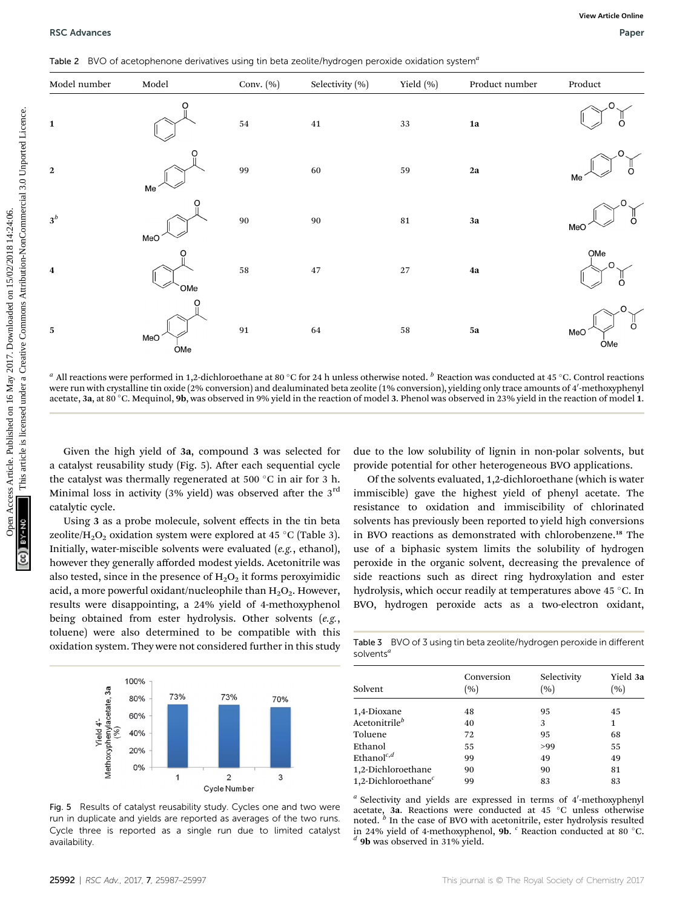Table 2 BVO of acetophenone derivatives using tin beta zeolite/hydrogen peroxide oxidation system<sup>4</sup>



 $^a$  All reactions were performed in 1,2-dichloroethane at 80  $^{\circ}$ C for 24 h unless otherwise noted.  $^b$  Reaction was conducted at 45  $^{\circ}$ C. Control reactions were run with crystalline tin oxide (2% conversion) and dealuminated beta zeolite (1% conversion), yielding only trace amounts of 4′-methoxyphenyl acetate, 3**a**, at 80 °C. Mequinol, **9b**, was observed in 9% yield in the reaction of model 3. Phenol was observed in 23% yield in the reaction of model 1.

Given the high yield of 3a, compound 3 was selected for a catalyst reusability study (Fig. 5). After each sequential cycle the catalyst was thermally regenerated at 500 °C in air for 3 h. Minimal loss in activity (3% yield) was observed after the  $3<sup>rd</sup>$ catalytic cycle.

Using 3 as a probe molecule, solvent effects in the tin beta zeolite/H $_{2} \mathrm{O}_{2}$  oxidation system were explored at 45 °C (Table 3). Initially, water-miscible solvents were evaluated (e.g., ethanol), however they generally afforded modest yields. Acetonitrile was also tested, since in the presence of  $H_2O_2$  it forms peroxyimidic acid, a more powerful oxidant/nucleophile than  $H_2O_2$ . However, results were disappointing, a 24% yield of 4-methoxyphenol being obtained from ester hydrolysis. Other solvents (e.g., toluene) were also determined to be compatible with this oxidation system. They were not considered further in this study



Fig. 5 Results of catalyst reusability study. Cycles one and two were run in duplicate and yields are reported as averages of the two runs. Cycle three is reported as a single run due to limited catalyst availability.

due to the low solubility of lignin in non-polar solvents, but provide potential for other heterogeneous BVO applications.

Of the solvents evaluated, 1,2-dichloroethane (which is water immiscible) gave the highest yield of phenyl acetate. The resistance to oxidation and immiscibility of chlorinated solvents has previously been reported to yield high conversions in BVO reactions as demonstrated with chlorobenzene.<sup>18</sup> The use of a biphasic system limits the solubility of hydrogen peroxide in the organic solvent, decreasing the prevalence of side reactions such as direct ring hydroxylation and ester hydrolysis, which occur readily at temperatures above 45 °C. In BVO, hydrogen peroxide acts as a two-electron oxidant,

Table 3 BVO of 3 using tin beta zeolite/hydrogen peroxide in different solvents<sup>a</sup>

| Conversion<br>(%) | Selectivity<br>(%) | Yield 3a<br>(%) |  |
|-------------------|--------------------|-----------------|--|
|                   |                    | 45              |  |
| 40                | 3                  | 1               |  |
| 72                | 95                 | 68              |  |
| 55                | >99                | 55              |  |
| 99                | 49                 | 49              |  |
| 90                | 90                 | 81              |  |
| 99                | 83                 | 83              |  |
|                   | 48                 | 95              |  |

 $a$  Selectivity and yields are expressed in terms of  $4'$ -methoxyphenyl acetate, **3a**. Reactions were conducted at 45  $^{\circ}$ C unless otherwise noted.  $^b$  In the case of BVO with acetonitrile, ester hydrolysis resulted in 24% yield of 4-methoxyphenol, **9b.** <sup>c</sup> Reaction conducted at 80 °C.<br>
<sup>d</sup> **9b** was observed in 31% yield.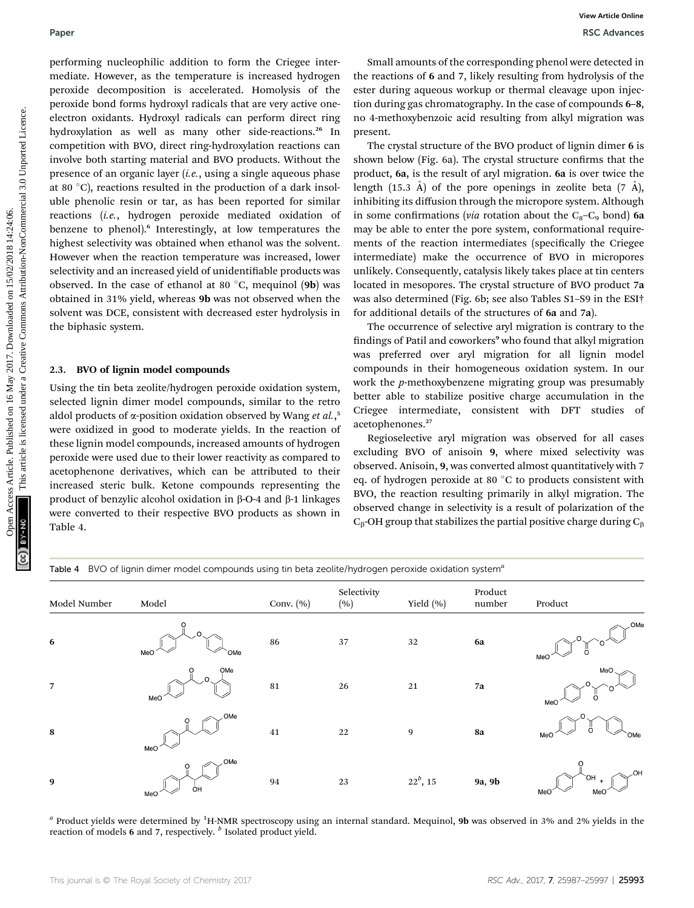performing nucleophilic addition to form the Criegee intermediate. However, as the temperature is increased hydrogen peroxide decomposition is accelerated. Homolysis of the peroxide bond forms hydroxyl radicals that are very active oneelectron oxidants. Hydroxyl radicals can perform direct ring hydroxylation as well as many other side-reactions.<sup>26</sup> In competition with BVO, direct ring-hydroxylation reactions can involve both starting material and BVO products. Without the presence of an organic layer (*i.e.*, using a single aqueous phase at 80  $^{\circ}$ C), reactions resulted in the production of a dark insoluble phenolic resin or tar, as has been reported for similar reactions (i.e., hydrogen peroxide mediated oxidation of benzene to phenol).<sup>6</sup> Interestingly, at low temperatures the highest selectivity was obtained when ethanol was the solvent. However when the reaction temperature was increased, lower selectivity and an increased yield of unidentifiable products was observed. In the case of ethanol at 80  $^{\circ}$ C, mequinol (**9b**) was obtained in 31% yield, whereas 9b was not observed when the solvent was DCE, consistent with decreased ester hydrolysis in the biphasic system. Paper<br>
Paper Week However, as the compensation on the Criegge inter-<br>
Since the competent of a model of any since the competent of a model of the creative Commons are the competent on the<br>
person content of the competent o

### 2.3. BVO of lignin model compounds

Using the tin beta zeolite/hydrogen peroxide oxidation system, selected lignin dimer model compounds, similar to the retro aldol products of  $\alpha$ -position oxidation observed by Wang *et al.*,<sup>5</sup><br>ware oxidized in good to moderate violds. In the reaction of were oxidized in good to moderate yields. In the reaction of these lignin model compounds, increased amounts of hydrogen peroxide were used due to their lower reactivity as compared to acetophenone derivatives, which can be attributed to their increased steric bulk. Ketone compounds representing the product of benzylic alcohol oxidation in  $\beta$ -O-4 and  $\beta$ -1 linkages were converted to their respective BVO products as shown in Table 4.

Small amounts of the corresponding phenol were detected in the reactions of 6 and 7, likely resulting from hydrolysis of the ester during aqueous workup or thermal cleavage upon injection during gas chromatography. In the case of compounds 6–8, no 4-methoxybenzoic acid resulting from alkyl migration was present.

The crystal structure of the BVO product of lignin dimer 6 is shown below (Fig. 6a). The crystal structure confirms that the product, 6a, is the result of aryl migration. 6a is over twice the length (15.3 Å) of the pore openings in zeolite beta (7 Å), inhibiting its diffusion through the micropore system. Although in some confirmations (via rotation about the  $C_8 - C_9$  bond) 6a may be able to enter the pore system, conformational requirements of the reaction intermediates (specifically the Criegee intermediate) make the occurrence of BVO in micropores unlikely. Consequently, catalysis likely takes place at tin centers located in mesopores. The crystal structure of BVO product 7a was also determined (Fig. 6b; see also Tables S1–S9 in the ESI† for additional details of the structures of 6a and 7a).

The occurrence of selective aryl migration is contrary to the findings of Patil and coworkers<sup>9</sup> who found that alkyl migration was preferred over aryl migration for all lignin model compounds in their homogeneous oxidation system. In our work the *p*-methoxybenzene migrating group was presumably better able to stabilize positive charge accumulation in the Criegee intermediate, consistent with DFT studies acetophenones.<sup>27</sup>

Regioselective aryl migration was observed for all cases excluding BVO of anisoin 9, where mixed selectivity was observed. Anisoin, 9, was converted almost quantitatively with 7 eq. of hydrogen peroxide at 80  $^{\circ}\mathrm{C}$  to products consistent with BVO, the reaction resulting primarily in alkyl migration. The observed change in selectivity is a result of polarization of the  $C_\beta$ -OH group that stabilizes the partial positive charge during  $C_\beta$ 

Table 4 BVO of lignin dimer model compounds using tin beta zeolite/hydrogen peroxide oxidation system<sup>4</sup>

| Model Number     | Model                            | Conv. (%) | Selectivity<br>(%) | Yield (%)   | Product<br>number | Product                                            |
|------------------|----------------------------------|-----------|--------------------|-------------|-------------------|----------------------------------------------------|
| 6                | O<br>$\Omega$<br>MeO<br>`OMe     | 86        | 37                 | 32          | 6a                | OMe<br>MeO                                         |
| $\overline{7}$   | OMe<br>$\Omega$<br>MeO           | 81        | 26                 | 21          | 7a                | MeO<br>MeO                                         |
| 8                | OMe<br>MeO                       | 41        | 22                 | 9           | 8a                | `OMe<br>MeO                                        |
| $\boldsymbol{9}$ | OMe<br>ÒН<br>$M \trianglelefteq$ | 94        | 23                 | $22^b$ , 15 | 9a, 9b            | ,OH<br>`OH<br>MeO <sup>®</sup><br>MeO <sup>®</sup> |

 $^a$  Product yields were determined by <sup>1</sup>H-NMR spectroscopy using an internal standard. Mequinol, **9b** was observed in 3% and 2% yields in the reaction of models  $6$  and  $7$ , respectively.  $\frac{b}{c}$  Isolated product yield.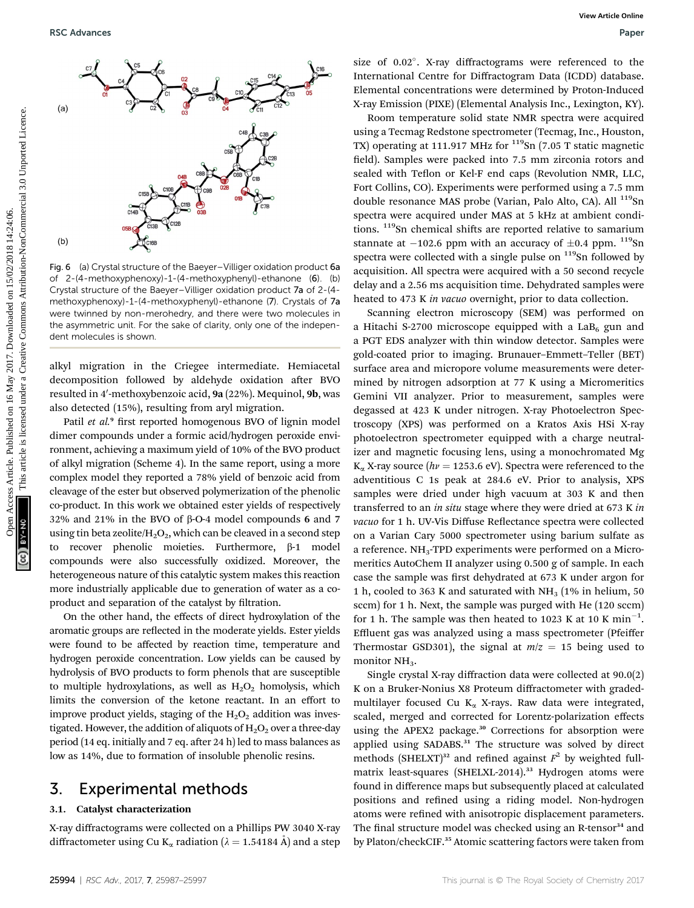

Fig. 6 (a) Crystal structure of the Baeyer–Villiger oxidation product 6a of 2-(4-methoxyphenoxy)-1-(4-methoxyphenyl)-ethanone (6). (b) Crystal structure of the Baeyer–Villiger oxidation product 7a of 2-(4 methoxyphenoxy)-1-(4-methoxyphenyl)-ethanone (7). Crystals of 7a were twinned by non-merohedry, and there were two molecules in the asymmetric unit. For the sake of clarity, only one of the independent molecules is shown.

alkyl migration in the Criegee intermediate. Hemiacetal decomposition followed by aldehyde oxidation after BVO resulted in 4′-methoxybenzoic acid, **9a** (22%). Mequinol, **9b**, was also detected (15%), resulting from aryl migration.

Patil et al.<sup>9</sup> first reported homogenous BVO of lignin model dimer compounds under a formic acid/hydrogen peroxide environment, achieving a maximum yield of 10% of the BVO product of alkyl migration (Scheme 4). In the same report, using a more complex model they reported a 78% yield of benzoic acid from cleavage of the ester but observed polymerization of the phenolic co-product. In this work we obtained ester yields of respectively 32% and 21% in the BVO of  $\beta$ -O-4 model compounds 6 and 7 using tin beta zeolite/ $H_2O_2$ , which can be cleaved in a second step  $recover$  phenolic moieties. Furthermore,  $\beta$ -1 model compounds were also successfully oxidized. Moreover, the heterogeneous nature of this catalytic system makes this reaction more industrially applicable due to generation of water as a coproduct and separation of the catalyst by filtration.

On the other hand, the effects of direct hydroxylation of the aromatic groups are reflected in the moderate yields. Ester yields were found to be affected by reaction time, temperature and hydrogen peroxide concentration. Low yields can be caused by hydrolysis of BVO products to form phenols that are susceptible to multiple hydroxylations, as well as  $H_2O_2$  homolysis, which limits the conversion of the ketone reactant. In an effort to improve product yields, staging of the  $H_2O_2$  addition was investigated. However, the addition of aliquots of  $H_2O_2$  over a three-day period (14 eq. initially and 7 eq. after 24 h) led to mass balances as low as 14%, due to formation of insoluble phenolic resins.

# 3. Experimental methods

### 3.1. Catalyst characterization

X-ray diffractograms were collected on a Phillips PW 3040 X-ray diffractometer using Cu K<sub>a</sub> radiation ( $\lambda = 1.54184$  Å) and a step

size of 0.02°. X-ray diffractograms were referenced to the International Centre for Diffractogram Data (ICDD) database. Elemental concentrations were determined by Proton-Induced X-ray Emission (PIXE) (Elemental Analysis Inc., Lexington, KY).

Room temperature solid state NMR spectra were acquired using a Tecmag Redstone spectrometer (Tecmag, Inc., Houston, TX) operating at 111.917 MHz for <sup>119</sup>Sn (7.05 T static magnetic field). Samples were packed into 7.5 mm zirconia rotors and sealed with Teflon or Kel-F end caps (Revolution NMR, LLC, Fort Collins, CO). Experiments were performed using a 7.5 mm double resonance MAS probe (Varian, Palo Alto, CA). All <sup>119</sup>Sn spectra were acquired under MAS at 5 kHz at ambient conditions. <sup>119</sup>Sn chemical shifts are reported relative to samarium stannate at  $-102.6$  ppm with an accuracy of  $\pm 0.4$  ppm.  $119$ Sn spectra were collected with a single pulse on  $119$ Sn followed by acquisition. All spectra were acquired with a 50 second recycle delay and a 2.56 ms acquisition time. Dehydrated samples were heated to 473 K in vacuo overnight, prior to data collection.

Scanning electron microscopy (SEM) was performed on a Hitachi S-2700 microscope equipped with a  $LaB<sub>6</sub>$  gun and a PGT EDS analyzer with thin window detector. Samples were gold-coated prior to imaging. Brunauer–Emmett–Teller (BET) surface area and micropore volume measurements were determined by nitrogen adsorption at 77 K using a Micromeritics Gemini VII analyzer. Prior to measurement, samples were degassed at 423 K under nitrogen. X-ray Photoelectron Spectroscopy (XPS) was performed on a Kratos Axis HSi X-ray photoelectron spectrometer equipped with a charge neutralizer and magnetic focusing lens, using a monochromated Mg  $K_{\alpha}$  X-ray source ( $hv = 1253.6$  eV). Spectra were referenced to the adventitious C 1s peak at 284.6 eV. Prior to analysis, XPS samples were dried under high vacuum at 303 K and then transferred to an in situ stage where they were dried at 673 K in vacuo for 1 h. UV-Vis Diffuse Reflectance spectra were collected on a Varian Cary 5000 spectrometer using barium sulfate as a reference.  $NH<sub>3</sub>-TPD$  experiments were performed on a Micromeritics AutoChem II analyzer using 0.500 g of sample. In each case the sample was first dehydrated at 673 K under argon for 1 h, cooled to 363 K and saturated with  $NH<sub>3</sub>$  (1% in helium, 50 sccm) for 1 h. Next, the sample was purged with He (120 sccm) for 1 h. The sample was then heated to 1023 K at 10 K  $min^{-1}$ . Effluent gas was analyzed using a mass spectrometer (Pfeiffer Thermostar GSD301), the signal at  $m/z = 15$  being used to monitor NH<sub>3</sub>. **PSC Advances**<br> **Example 2018**<br> **Example 2018**<br> **Example 2018**<br> **Example 2018**<br> **Example 2018**<br> **Example 2018**<br> **Example 2018**<br> **Example 2018**<br> **Example 2018**<br> **Example 2018**<br> **Example 2018**<br> **Example 2018**<br> **Example 2018** 

> Single crystal X-ray diffraction data were collected at 90.0(2) K on a Bruker-Nonius X8 Proteum diffractometer with gradedmultilayer focused Cu  $K_{\alpha}$  X-rays. Raw data were integrated, scaled, merged and corrected for Lorentz-polarization effects using the APEX2 package.<sup>30</sup> Corrections for absorption were applied using SADABS.<sup>31</sup> The structure was solved by direct methods (SHELXT)<sup>32</sup> and refined against  $F^2$  by weighted fullmatrix least-squares (SHELXL-2014).<sup>33</sup> Hydrogen atoms were found in difference maps but subsequently placed at calculated positions and refined using a riding model. Non-hydrogen atoms were refined with anisotropic displacement parameters. The final structure model was checked using an R-tensor<sup>34</sup> and by Platon/checkCIF.<sup>35</sup> Atomic scattering factors were taken from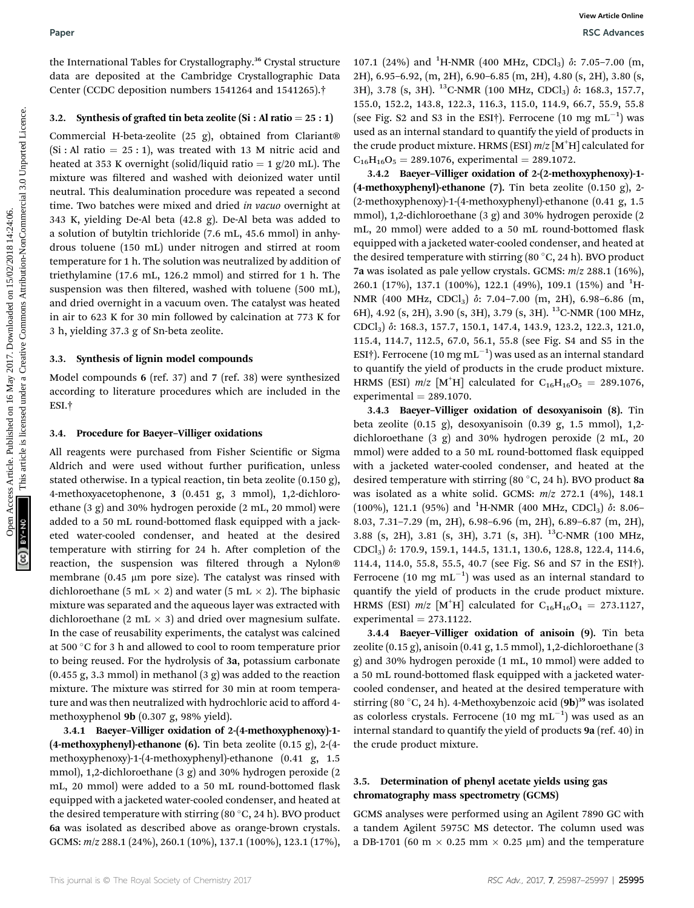the International Tables for Crystallography.<sup>36</sup> Crystal structure data are deposited at the Cambridge Crystallographic Data Center (CCDC deposition numbers 1541264 and 1541265).†

### 3.2. Synthesis of grafted tin beta zeolite (Si : Al ratio =  $25:1$ )

Commercial H-beta-zeolite (25 g), obtained from Clariant®  $(Si : Al ratio = 25 : 1)$ , was treated with 13 M nitric acid and heated at 353 K overnight (solid/liquid ratio  $= 1$  g/20 mL). The mixture was filtered and washed with deionized water until neutral. This dealumination procedure was repeated a second time. Two batches were mixed and dried in vacuo overnight at 343 K, yielding De-Al beta (42.8 g). De-Al beta was added to a solution of butyltin trichloride (7.6 mL, 45.6 mmol) in anhydrous toluene (150 mL) under nitrogen and stirred at room temperature for 1 h. The solution was neutralized by addition of triethylamine (17.6 mL, 126.2 mmol) and stirred for 1 h. The suspension was then filtered, washed with toluene (500 mL), and dried overnight in a vacuum oven. The catalyst was heated in air to 623 K for 30 min followed by calcination at 773 K for 3 h, yielding 37.3 g of Sn-beta zeolite.

### 3.3. Synthesis of lignin model compounds

Model compounds 6 (ref. 37) and 7 (ref. 38) were synthesized according to literature procedures which are included in the ESI.†

### 3.4. Procedure for Baeyer–Villiger oxidations

All reagents were purchased from Fisher Scientific or Sigma Aldrich and were used without further purification, unless stated otherwise. In a typical reaction, tin beta zeolite (0.150 g), 4-methoxyacetophenone, 3 (0.451 g, 3 mmol), 1,2-dichloroethane (3 g) and 30% hydrogen peroxide (2 mL, 20 mmol) were added to a 50 mL round-bottomed flask equipped with a jacketed water-cooled condenser, and heated at the desired temperature with stirring for 24 h. After completion of the reaction, the suspension was filtered through a Nylon® membrane (0.45  $\mu$ m pore size). The catalyst was rinsed with dichloroethane (5 mL  $\times$  2) and water (5 mL  $\times$  2). The biphasic mixture was separated and the aqueous layer was extracted with dichloroethane (2 mL  $\times$  3) and dried over magnesium sulfate. In the case of reusability experiments, the catalyst was calcined at 500  $^{\circ} \mathrm{C}$  for 3 h and allowed to cool to room temperature prior to being reused. For the hydrolysis of 3a, potassium carbonate (0.455 g, 3.3 mmol) in methanol (3 g) was added to the reaction mixture. The mixture was stirred for 30 min at room temperature and was then neutralized with hydrochloric acid to afford 4 methoxyphenol 9b (0.307 g, 98% yield).

3.4.1 Baeyer–Villiger oxidation of 2-(4-methoxyphenoxy)-1- (4-methoxyphenyl)-ethanone (6). Tin beta zeolite (0.15 g), 2-(4 methoxyphenoxy)-1-(4-methoxyphenyl)-ethanone (0.41 g, 1.5 mmol), 1,2-dichloroethane (3 g) and 30% hydrogen peroxide (2 mL, 20 mmol) were added to a 50 mL round-bottomed flask equipped with a jacketed water-cooled condenser, and heated at the desired temperature with stirring (80  $^{\circ}$ C, 24 h). BVO product 6a was isolated as described above as orange-brown crystals. GCMS: m/z 288.1 (24%), 260.1 (10%), 137.1 (100%), 123.1 (17%),

107.1 (24%) and <sup>1</sup>H-NMR (400 MHz, CDCl<sub>3</sub>)  $\delta$ : 7.05-7.00 (m, 2H), 6.95–6.92, (m, 2H), 6.90–6.85 (m, 2H), 4.80 (s, 2H), 3.80 (s, 3H), 3.78 (s, 3H). <sup>13</sup>C-NMR (100 MHz, CDCl<sub>3</sub>)  $\delta$ : 168.3, 157.7, 155.0, 152.2, 143.8, 122.3, 116.3, 115.0, 114.9, 66.7, 55.9, 55.8 (see Fig. S2 and S3 in the ESI†). Ferrocene  $(10 \text{ mg } \text{mL}^{-1})$  was used as an internal standard to quantify the yield of products in the crude product mixture. HRMS (ESI)  $m/z$  [M<sup>+</sup>H] calculated for  $C_{16}H_{16}O_5 = 289.1076$ , experimental = 289.1072.

3.4.2 Baeyer–Villiger oxidation of 2-(2-methoxyphenoxy)-1- (4-methoxyphenyl)-ethanone (7). Tin beta zeolite (0.150 g), 2- (2-methoxyphenoxy)-1-(4-methoxyphenyl)-ethanone (0.41 g, 1.5 mmol), 1,2-dichloroethane (3 g) and 30% hydrogen peroxide (2 mL, 20 mmol) were added to a 50 mL round-bottomed flask equipped with a jacketed water-cooled condenser, and heated at the desired temperature with stirring (80  $^{\circ}$ C, 24 h). BVO product 7a was isolated as pale yellow crystals. GCMS: m/z 288.1 (16%), 260.1 (17%), 137.1 (100%), 122.1 (49%), 109.1 (15%) and <sup>1</sup>H-NMR (400 MHz, CDCl<sub>3</sub>)  $\delta$ : 7.04-7.00 (m, 2H), 6.98-6.86 (m, 6H), 4.92 (s, 2H), 3.90 (s, 3H), 3.79 (s, 3H). 13C-NMR (100 MHz, CDCl3) d: 168.3, 157.7, 150.1, 147.4, 143.9, 123.2, 122.3, 121.0, 115.4, 114.7, 112.5, 67.0, 56.1, 55.8 (see Fig. S4 and S5 in the ESI†). Ferrocene (10 mg mL $^{-1}$ ) was used as an internal standard to quantify the yield of products in the crude product mixture. HRMS (ESI)  $m/z$  [M<sup>+</sup>H] calculated for C<sub>16</sub>H<sub>16</sub>O<sub>5</sub> = 289.1076,  $experimental = 289.1070.$ Paper<br>
One International Tables for Capsability,<sup>26</sup>Cystal article. 2011, 0.58 80.2<sub>0</sub>1, 23:06, 0.401, 0.00 ABT<sub>s</sub>, COCl<sub>3</sub> 2.7.05–201 (m)<br>
data are deposited the beat settle (61 ad ratio - 28:11), 0.39 80.2<sub>0</sub>1, 23:06, 2

3.4.3 Baeyer–Villiger oxidation of desoxyanisoin (8). Tin beta zeolite (0.15 g), desoxyanisoin (0.39 g, 1.5 mmol), 1,2 dichloroethane (3 g) and 30% hydrogen peroxide (2 mL, 20 mmol) were added to a 50 mL round-bottomed flask equipped with a jacketed water-cooled condenser, and heated at the desired temperature with stirring (80  $^{\circ}$ C, 24 h). BVO product 8a was isolated as a white solid. GCMS:  $m/z$  272.1 (4%), 148.1 (100%), 121.1 (95%) and <sup>1</sup>H-NMR (400 MHz, CDCl<sub>3</sub>)  $\delta$ : 8.06-8.03, 7.31–7.29 (m, 2H), 6.98–6.96 (m, 2H), 6.89–6.87 (m, 2H), 3.88 (s, 2H), 3.81 (s, 3H), 3.71 (s, 3H). <sup>13</sup>C-NMR (100 MHz, CDCl3) d: 170.9, 159.1, 144.5, 131.1, 130.6, 128.8, 122.4, 114.6, 114.4, 114.0, 55.8, 55.5, 40.7 (see Fig. S6 and S7 in the ESI†). Ferrocene (10 mg  $mL^{-1}$ ) was used as an internal standard to quantify the yield of products in the crude product mixture. HRMS (ESI)  $m/z$  [M<sup>+</sup>H] calculated for C<sub>16</sub>H<sub>16</sub>O<sub>4</sub> = 273.1127, experimental  $= 273.1122$ .

3.4.4 Baeyer–Villiger oxidation of anisoin (9). Tin beta zeolite (0.15 g), anisoin (0.41 g, 1.5 mmol), 1,2-dichloroethane (3 g) and 30% hydrogen peroxide (1 mL, 10 mmol) were added to a 50 mL round-bottomed flask equipped with a jacketed watercooled condenser, and heated at the desired temperature with stirring (80 °C, 24 h). 4-Methoxybenzoic acid (9b)<sup>39</sup> was isolated as colorless crystals. Ferrocene  $(10 \text{ mg} \text{ mL}^{-1})$  was used as an internal standard to quantify the yield of products 9a (ref. 40) in the crude product mixture.

### 3.5. Determination of phenyl acetate yields using gas chromatography mass spectrometry (GCMS)

GCMS analyses were performed using an Agilent 7890 GC with a tandem Agilent 5975C MS detector. The column used was a DB-1701 (60 m  $\times$  0.25 mm  $\times$  0.25 µm) and the temperature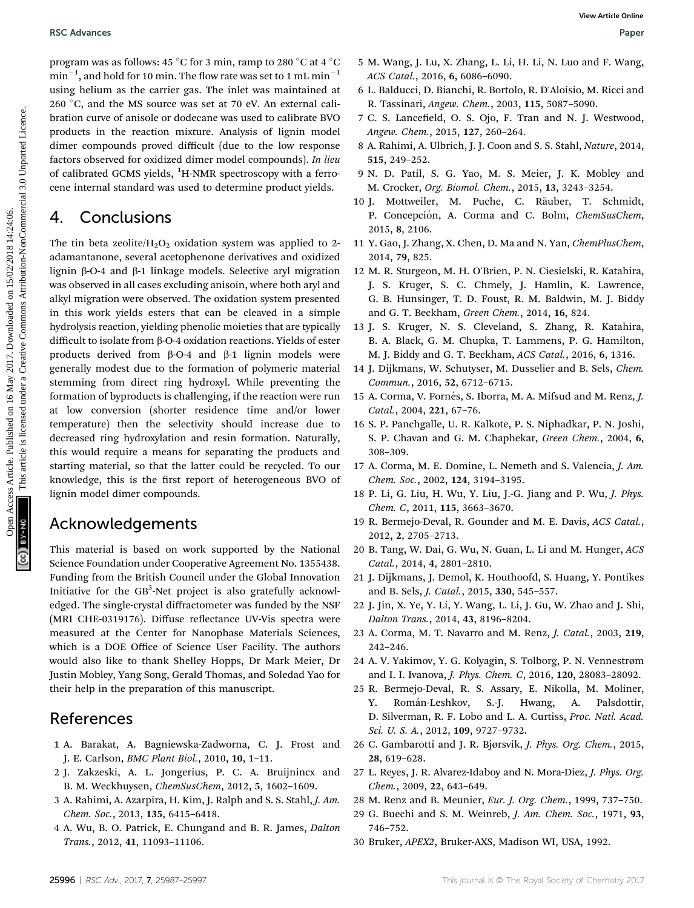RSC Advances **RSC Advances** Paper **RSC Advances** Paper **Paper Paper Paper Paper** Paper Paper Paper Paper Paper Paper Paper Paper Paper Paper Paper Paper Paper Paper Paper Paper Paper Paper Paper Paper Paper Paper Paper Pap

program was as follows: 45  $^{\circ} \mathrm{C}$  for 3 min, ramp to 280  $^{\circ} \mathrm{C}$  at 4  $^{\circ} \mathrm{C}$  $\mathrm{min}^{-1},$  and hold for 10 min. The flow rate was set to 1 mL  $\mathrm{min}^{-1}$ using helium as the carrier gas. The inlet was maintained at  $260\,\mathrm{\degree C},$  and the MS source was set at 70 eV. An external calibration curve of anisole or dodecane was used to calibrate BVO products in the reaction mixture. Analysis of lignin model dimer compounds proved difficult (due to the low response factors observed for oxidized dimer model compounds). In lieu of calibrated GCMS yields, <sup>1</sup>H-NMR spectroscopy with a ferrocene internal standard was used to determine product yields.

# 4. Conclusions

The tin beta zeolite/ $H_2O_2$  oxidation system was applied to 2adamantanone, several acetophenone derivatives and oxidized lignin  $\beta$ -O-4 and  $\beta$ -1 linkage models. Selective aryl migration was observed in all cases excluding anisoin, where both aryl and alkyl migration were observed. The oxidation system presented in this work yields esters that can be cleaved in a simple hydrolysis reaction, yielding phenolic moieties that are typically difficult to isolate from  $\beta$ -O-4 oxidation reactions. Yields of ester products derived from  $\beta$ -O-4 and  $\beta$ -1 lignin models were generally modest due to the formation of polymeric material stemming from direct ring hydroxyl. While preventing the formation of byproducts is challenging, if the reaction were run at low conversion (shorter residence time and/or lower temperature) then the selectivity should increase due to decreased ring hydroxylation and resin formation. Naturally, this would require a means for separating the products and starting material, so that the latter could be recycled. To our knowledge, this is the first report of heterogeneous BVO of lignin model dimer compounds. FRECA devantes Articles. Article. Published on 16 May 2017. The Context Article is likely that is likely that is likely that is likely that is likely that is likely that is likely that is likely that is likely that is like

# Acknowledgements

This material is based on work supported by the National Science Foundation under Cooperative Agreement No. 1355438. Funding from the British Council under the Global Innovation Initiative for the GB<sup>3</sup>-Net project is also gratefully acknowledged. The single-crystal diffractometer was funded by the NSF (MRI CHE-0319176). Diffuse reflectance UV-Vis spectra were measured at the Center for Nanophase Materials Sciences, which is a DOE Office of Science User Facility. The authors would also like to thank Shelley Hopps, Dr Mark Meier, Dr Justin Mobley, Yang Song, Gerald Thomas, and Soledad Yao for their help in the preparation of this manuscript.

# References

- 1 A. Barakat, A. Bagniewska-Zadworna, C. J. Frost and J. E. Carlson, BMC Plant Biol., 2010, 10, 1–11.
- 2 J. Zakzeski, A. L. Jongerius, P. C. A. Bruijnincx and B. M. Weckhuysen, ChemSusChem, 2012, 5, 1602–1609.
- 3 A. Rahimi, A. Azarpira, H. Kim, J. Ralph and S. S. Stahl, J. Am. Chem. Soc., 2013, 135, 6415–6418.
- 4 A. Wu, B. O. Patrick, E. Chungand and B. R. James, Dalton Trans., 2012, 41, 11093–11106.
- 5 M. Wang, J. Lu, X. Zhang, L. Li, H. Li, N. Luo and F. Wang, ACS Catal., 2016, 6, 6086–6090.
- 6 L. Balducci, D. Bianchi, R. Bortolo, R. D'Aloisio, M. Ricci and R. Tassinari, Angew. Chem., 2003, 115, 5087–5090.
- 7 C. S. Lancefield, O. S. Ojo, F. Tran and N. J. Westwood, Angew. Chem., 2015, 127, 260–264.
- 8 A. Rahimi, A. Ulbrich, J. J. Coon and S. S. Stahl, Nature, 2014, 515, 249–252.
- 9 N. D. Patil, S. G. Yao, M. S. Meier, J. K. Mobley and M. Crocker, Org. Biomol. Chem., 2015, 13, 3243–3254.
- 10 J. Mottweiler, M. Puche, C. Räuber, T. Schmidt, P. Concepción, A. Corma and C. Bolm, ChemSusChem, 2015, 8, 2106.
- 11 Y. Gao, J. Zhang, X. Chen, D. Ma and N. Yan, ChemPlusChem, 2014, 79, 825.
- 12 M. R. Sturgeon, M. H. O'Brien, P. N. Ciesielski, R. Katahira, J. S. Kruger, S. C. Chmely, J. Hamlin, K. Lawrence, G. B. Hunsinger, T. D. Foust, R. M. Baldwin, M. J. Biddy and G. T. Beckham, Green Chem., 2014, 16, 824.
- 13 J. S. Kruger, N. S. Cleveland, S. Zhang, R. Katahira, B. A. Black, G. M. Chupka, T. Lammens, P. G. Hamilton, M. J. Biddy and G. T. Beckham, ACS Catal., 2016, 6, 1316.
- 14 J. Dijkmans, W. Schutyser, M. Dusselier and B. Sels, Chem. Commun., 2016, 52, 6712–6715.
- 15 A. Corma, V. Fornés, S. Iborra, M. A. Mifsud and M. Renz, J. Catal., 2004, 221, 67–76.
- 16 S. P. Panchgalle, U. R. Kalkote, P. S. Niphadkar, P. N. Joshi, S. P. Chavan and G. M. Chaphekar, Green Chem., 2004, 6, 308–309.
- 17 A. Corma, M. E. Domine, L. Nemeth and S. Valencia, J. Am. Chem. Soc., 2002, 124, 3194–3195.
- 18 P. Li, G. Liu, H. Wu, Y. Liu, J.-G. Jiang and P. Wu, J. Phys. Chem. C, 2011, 115, 3663–3670.
- 19 R. Bermejo-Deval, R. Gounder and M. E. Davis, ACS Catal., 2012, 2, 2705–2713.
- 20 B. Tang, W. Dai, G. Wu, N. Guan, L. Li and M. Hunger, ACS Catal., 2014, 4, 2801–2810.
- 21 J. Dijkmans, J. Demol, K. Houthoofd, S. Huang, Y. Pontikes and B. Sels, J. Catal., 2015, 330, 545–557.
- 22 J. Jin, X. Ye, Y. Li, Y. Wang, L. Li, J. Gu, W. Zhao and J. Shi, Dalton Trans., 2014, 43, 8196–8204.
- 23 A. Corma, M. T. Navarro and M. Renz, J. Catal., 2003, 219, 242–246.
- 24 A. V. Yakimov, Y. G. Kolyagin, S. Tolborg, P. N. Vennestrøm and I. I. Ivanova, J. Phys. Chem. C, 2016, 120, 28083–28092.
- 25 R. Bermejo-Deval, R. S. Assary, E. Nikolla, M. Moliner, Y. Román-Leshkov, S.-J. Hwang, A. Palsdottir, D. Silverman, R. F. Lobo and L. A. Curtiss, Proc. Natl. Acad. Sci. U. S. A., 2012, 109, 9727–9732.
- 26 C. Gambarotti and J. R. Bjørsvik, J. Phys. Org. Chem., 2015, 28, 619–628.
- 27 L. Reyes, J. R. Alvarez-Idaboy and N. Mora-Diez, J. Phys. Org. Chem., 2009, 22, 643–649.
- 28 M. Renz and B. Meunier, Eur. J. Org. Chem., 1999, 737–750.
- 29 G. Buechi and S. M. Weinreb, J. Am. Chem. Soc., 1971, 93, 746–752.
- 30 Bruker, APEX2, Bruker-AXS, Madison WI, USA, 1992.